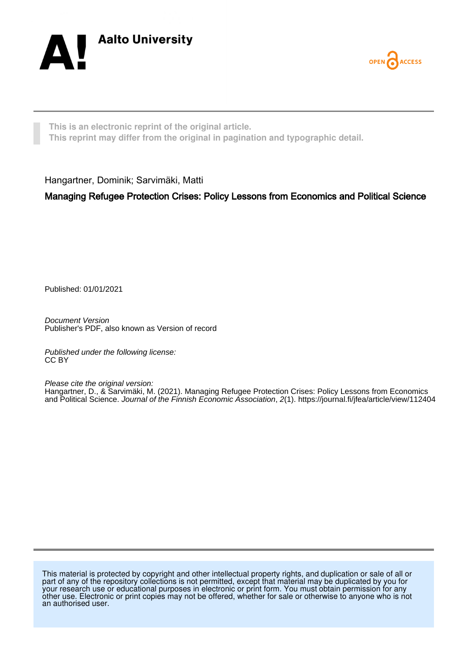



**This is an electronic reprint of the original article. This reprint may differ from the original in pagination and typographic detail.**

Hangartner, Dominik; Sarvimäki, Matti

Managing Refugee Protection Crises: Policy Lessons from Economics and Political Science

Published: 01/01/2021

Document Version Publisher's PDF, also known as Version of record

Published under the following license: CC BY

Please cite the original version:

Hangartner, D., & Sarvimäki, M. (2021). Managing Refugee Protection Crises: Policy Lessons from Economics and Political Science. Journal of the Finnish Economic Association, 2(1). <https://journal.fi/jfea/article/view/112404>

This material is protected by copyright and other intellectual property rights, and duplication or sale of all or part of any of the repository collections is not permitted, except that material may be duplicated by you for your research use or educational purposes in electronic or print form. You must obtain permission for any other use. Electronic or print copies may not be offered, whether for sale or otherwise to anyone who is not an authorised user.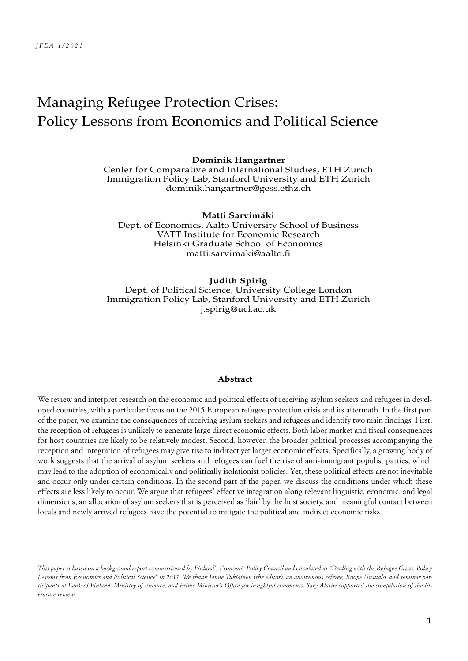# Managing Refugee Protection Crises: Policy Lessons from Economics and Political Science

#### **Dominik Hangartner**

Center for Comparative and International Studies, ETH Zurich Immigration Policy Lab, Stanford University and ETH Zurich dominik.hangartner@gess.ethz.ch

#### **Matti Sarvimäki**

Dept. of Economics, Aalto University School of Business VATT Institute for Economic Research Helsinki Graduate School of Economics matti.sarvimaki@aalto.fi

#### **Judith Spirig**

Dept. of Political Science, University College London Immigration Policy Lab, Stanford University and ETH Zurich j.spirig@ucl.ac.uk

#### **Abstract**

We review and interpret research on the economic and political effects of receiving asylum seekers and refugees in developed countries, with a particular focus on the 2015 European refugee protection crisis and its aftermath. In the first part of the paper, we examine the consequences of receiving asylum seekers and refugees and identify two main findings. First, the reception of refugees is unlikely to generate large direct economic effects. Both labor market and fiscal consequences for host countries are likely to be relatively modest. Second, however, the broader political processes accompanying the reception and integration of refugees may give rise to indirect yet larger economic effects. Specifically, a growing body of work suggests that the arrival of asylum seekers and refugees can fuel the rise of anti-immigrant populist parties, which may lead to the adoption of economically and politically isolationist policies. Yet, these political effects are not inevitable and occur only under certain conditions. In the second part of the paper, we discuss the conditions under which these effects are less likely to occur. We argue that refugees' effective integration along relevant linguistic, economic, and legal dimensions, an allocation of asylum seekers that is perceived as 'fair' by the host society, and meaningful contact between locals and newly arrived refugees have the potential to mitigate the political and indirect economic risks.

*This paper is based on a background report commissioned by Finland's Economic Policy Council and circulated as "Dealing with the Refugee Crisis: Policy Lessons from Economics and Political Science" in 2017. We thank Janne Tukiainen (the editor), an anonymous referee, Roope Uusitalo, and seminar participants at Bank of Finland, Ministry of Finance, and Prime Minister's Office for insightful comments. Sary Alasiri supported the compilation of the literature review.*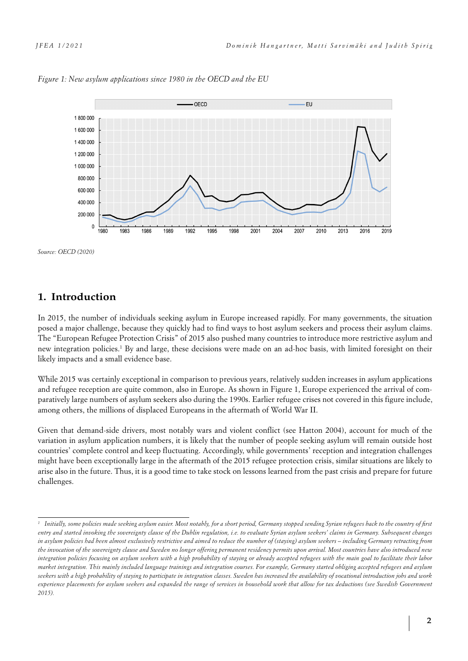



*Source: OECD (2020)*

# **1. Introduction**

In 2015, the number of individuals seeking asylum in Europe increased rapidly. For many governments, the situation posed a major challenge, because they quickly had to find ways to host asylum seekers and process their asylum claims. The "European Refugee Protection Crisis" of 2015 also pushed many countries to introduce more restrictive asylum and new integration policies.1 By and large, these decisions were made on an ad-hoc basis, with limited foresight on their likely impacts and a small evidence base.

While 2015 was certainly exceptional in comparison to previous years, relatively sudden increases in asylum applications and refugee reception are quite common, also in Europe. As shown in Figure 1, Europe experienced the arrival of comparatively large numbers of asylum seekers also during the 1990s. Earlier refugee crises not covered in this figure include, among others, the millions of displaced Europeans in the aftermath of World War II.

Given that demand-side drivers, most notably wars and violent conflict (see Hatton 2004), account for much of the variation in asylum application numbers, it is likely that the number of people seeking asylum will remain outside host countries' complete control and keep fluctuating. Accordingly, while governments' reception and integration challenges might have been exceptionally large in the aftermath of the 2015 refugee protection crisis, similar situations are likely to arise also in the future. Thus, it is a good time to take stock on lessons learned from the past crisis and prepare for future challenges.

*<sup>1</sup> Initially, some policies made seeking asylum easier. Most notably, for a short period, Germany stopped sending Syrian refugees back to the country of first entry and started invoking the sovereignty clause of the Dublin regulation, i.e. to evaluate Syrian asylum seekers' claims in Germany. Subsequent changes in asylum policies had been almost exclusively restrictive and aimed to reduce the number of (staying) asylum seekers – including Germany retracting from the invocation of the sovereignty clause and Sweden no longer offering permanent residency permits upon arrival. Most countries have also introduced new integration policies focusing on asylum seekers with a high probability of staying or already accepted refugees with the main goal to facilitate their labor market integration. This mainly included language trainings and integration courses. For example, Germany started obliging accepted refugees and asylum seekers with a high probability of staying to participate in integration classes. Sweden has increased the availability of vocational introduction jobs and work experience placements for asylum seekers and expanded the range of services in household work that allow for tax deductions (see Swedish Government 2015).*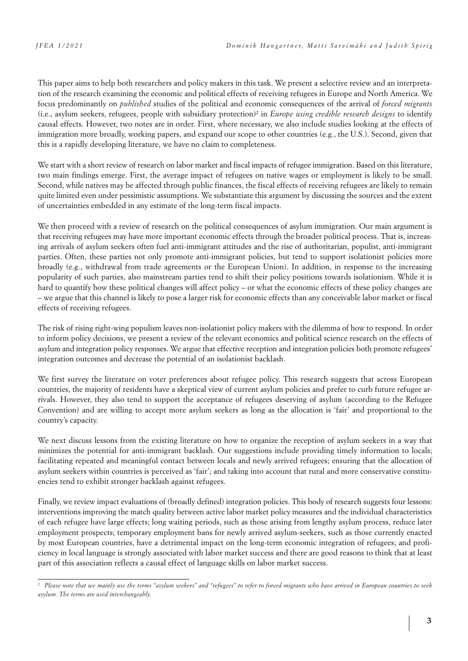This paper aims to help both researchers and policy makers in this task. We present a selective review and an interpretation of the research examining the economic and political effects of receiving refugees in Europe and North America. We focus predominantly on *published* studies of the political and economic consequences of the arrival of *forced migrants* (i.e., asylum seekers, refugees, people with subsidiary protection)2 in *Europe using credible research designs* to identify causal effects. However, two notes are in order. First, where necessary, we also include studies looking at the effects of immigration more broadly, working papers, and expand our scope to other countries (e.g., the U.S.). Second, given that this is a rapidly developing literature, we have no claim to completeness.

We start with a short review of research on labor market and fiscal impacts of refugee immigration. Based on this literature, two main findings emerge. First, the average impact of refugees on native wages or employment is likely to be small. Second, while natives may be affected through public finances, the fiscal effects of receiving refugees are likely to remain quite limited even under pessimistic assumptions. We substantiate this argument by discussing the sources and the extent of uncertainties embedded in any estimate of the long-term fiscal impacts.

We then proceed with a review of research on the political consequences of asylum immigration. Our main argument is that receiving refugees may have more important economic effects through the broader political process. That is, increasing arrivals of asylum seekers often fuel anti-immigrant attitudes and the rise of authoritarian, populist, anti-immigrant parties. Often, these parties not only promote anti-immigrant policies, but tend to support isolationist policies more broadly (e.g., withdrawal from trade agreements or the European Union). In addition, in response to the increasing popularity of such parties, also mainstream parties tend to shift their policy positions towards isolationism. While it is hard to quantify how these political changes will affect policy – or what the economic effects of these policy changes are – we argue that this channel is likely to pose a larger risk for economic effects than any conceivable labor market or fiscal effects of receiving refugees.

The risk of rising right-wing populism leaves non-isolationist policy makers with the dilemma of how to respond. In order to inform policy decisions, we present a review of the relevant economics and political science research on the effects of asylum and integration policy responses. We argue that effective reception and integration policies both promote refugees' integration outcomes and decrease the potential of an isolationist backlash.

We first survey the literature on voter preferences about refugee policy. This research suggests that across European countries, the majority of residents have a skeptical view of current asylum policies and prefer to curb future refugee arrivals. However, they also tend to support the acceptance of refugees deserving of asylum (according to the Refugee Convention) and are willing to accept more asylum seekers as long as the allocation is 'fair' and proportional to the country's capacity.

We next discuss lessons from the existing literature on how to organize the reception of asylum seekers in a way that minimizes the potential for anti-immigrant backlash. Our suggestions include providing timely information to locals; facilitating repeated and meaningful contact between locals and newly arrived refugees; ensuring that the allocation of asylum seekers within countries is perceived as 'fair'; and taking into account that rural and more conservative constituencies tend to exhibit stronger backlash against refugees.

Finally, we review impact evaluations of (broadly defined) integration policies. This body of research suggests four lessons: interventions improving the match quality between active labor market policy measures and the individual characteristics of each refugee have large effects; long waiting periods, such as those arising from lengthy asylum process, reduce later employment prospects; temporary employment bans for newly arrived asylum-seekers, such as those currently enacted by most European countries, have a detrimental impact on the long-term economic integration of refugees; and proficiency in local language is strongly associated with labor market success and there are good reasons to think that at least part of this association reflects a causal effect of language skills on labor market success.

*<sup>2</sup> Please note that we mainly use the terms "asylum seekers" and "refugees" to refer to forced migrants who have arrived in European countries to seek asylum. The terms are used interchangeably.*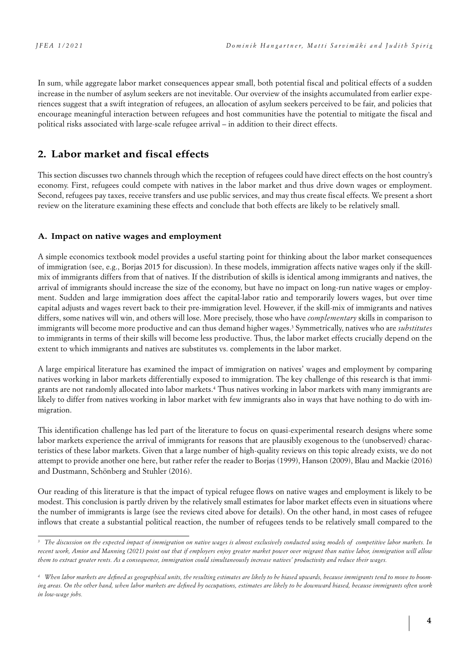In sum, while aggregate labor market consequences appear small, both potential fiscal and political effects of a sudden increase in the number of asylum seekers are not inevitable. Our overview of the insights accumulated from earlier experiences suggest that a swift integration of refugees, an allocation of asylum seekers perceived to be fair, and policies that encourage meaningful interaction between refugees and host communities have the potential to mitigate the fiscal and political risks associated with large-scale refugee arrival – in addition to their direct effects.

# **2. Labor market and fiscal effects**

This section discusses two channels through which the reception of refugees could have direct effects on the host country's economy. First, refugees could compete with natives in the labor market and thus drive down wages or employment. Second, refugees pay taxes, receive transfers and use public services, and may thus create fiscal effects. We present a short review on the literature examining these effects and conclude that both effects are likely to be relatively small.

### **A. Impact on native wages and employment**

A simple economics textbook model provides a useful starting point for thinking about the labor market consequences of immigration (see, e.g., Borjas 2015 for discussion). In these models, immigration affects native wages only if the skillmix of immigrants differs from that of natives. If the distribution of skills is identical among immigrants and natives, the arrival of immigrants should increase the size of the economy, but have no impact on long-run native wages or employment. Sudden and large immigration does affect the capital-labor ratio and temporarily lowers wages, but over time capital adjusts and wages revert back to their pre-immigration level. However, if the skill-mix of immigrants and natives differs, some natives will win, and others will lose. More precisely, those who have *complementary* skills in comparison to immigrants will become more productive and can thus demand higher wages.<sup>3</sup> Symmetrically, natives who are *substitutes* to immigrants in terms of their skills will become less productive. Thus, the labor market effects crucially depend on the extent to which immigrants and natives are substitutes vs. complements in the labor market.

A large empirical literature has examined the impact of immigration on natives' wages and employment by comparing natives working in labor markets differentially exposed to immigration. The key challenge of this research is that immigrants are not randomly allocated into labor markets.4 Thus natives working in labor markets with many immigrants are likely to differ from natives working in labor market with few immigrants also in ways that have nothing to do with immigration.

This identification challenge has led part of the literature to focus on quasi-experimental research designs where some labor markets experience the arrival of immigrants for reasons that are plausibly exogenous to the (unobserved) characteristics of these labor markets. Given that a large number of high-quality reviews on this topic already exists, we do not attempt to provide another one here, but rather refer the reader to Borjas (1999), Hanson (2009), Blau and Mackie (2016) and Dustmann, Schönberg and Stuhler (2016).

Our reading of this literature is that the impact of typical refugee flows on native wages and employment is likely to be modest. This conclusion is partly driven by the relatively small estimates for labor market effects even in situations where the number of immigrants is large (see the reviews cited above for details). On the other hand, in most cases of refugee inflows that create a substantial political reaction, the number of refugees tends to be relatively small compared to the

<sup>&</sup>lt;sup>3</sup> The discussion on the expected impact of immigration on native wages is almost exclusively conducted using models of competitive labor markets. In *recent work, Amior and Manning (2021) point out that if employers enjoy greater market power over migrant than native labor, immigration will allow them to extract greater rents. As a consequence, immigration could simultaneously increase natives' productivity and reduce their wages.*

*<sup>4</sup> When labor markets are defined as geographical units, the resulting estimates are likely to be biased upwards, because immigrants tend to move to booming areas. On the other hand, when labor markets are defined by occupations, estimates are likely to be downward biased, because immigrants often work in low-wage jobs.*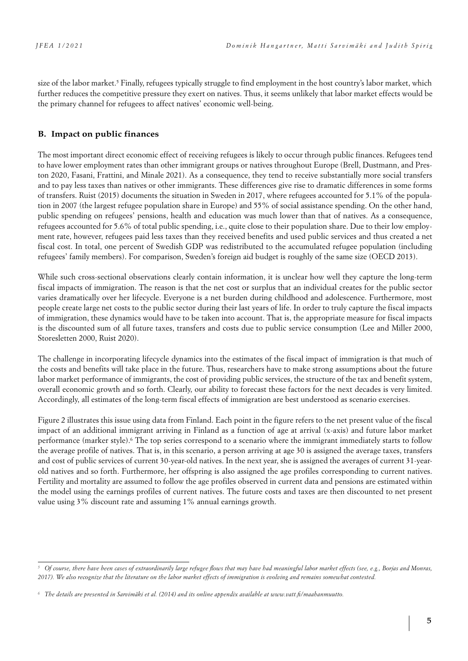size of the labor market.5 Finally, refugees typically struggle to find employment in the host country's labor market, which further reduces the competitive pressure they exert on natives. Thus, it seems unlikely that labor market effects would be the primary channel for refugees to affect natives' economic well-being.

#### **B. Impact on public finances**

The most important direct economic effect of receiving refugees is likely to occur through public finances. Refugees tend to have lower employment rates than other immigrant groups or natives throughout Europe (Brell, Dustmann, and Preston 2020, Fasani, Frattini, and Minale 2021). As a consequence, they tend to receive substantially more social transfers and to pay less taxes than natives or other immigrants. These differences give rise to dramatic differences in some forms of transfers. Ruist (2015) documents the situation in Sweden in 2017, where refugees accounted for 5.1% of the population in 2007 (the largest refugee population share in Europe) and 55% of social assistance spending. On the other hand, public spending on refugees' pensions, health and education was much lower than that of natives. As a consequence, refugees accounted for 5.6% of total public spending, i.e., quite close to their population share. Due to their low employment rate, however, refugees paid less taxes than they received benefits and used public services and thus created a net fiscal cost. In total, one percent of Swedish GDP was redistributed to the accumulated refugee population (including refugees' family members). For comparison, Sweden's foreign aid budget is roughly of the same size (OECD 2013).

While such cross-sectional observations clearly contain information, it is unclear how well they capture the long-term fiscal impacts of immigration. The reason is that the net cost or surplus that an individual creates for the public sector varies dramatically over her lifecycle. Everyone is a net burden during childhood and adolescence. Furthermore, most people create large net costs to the public sector during their last years of life. In order to truly capture the fiscal impacts of immigration, these dynamics would have to be taken into account. That is, the appropriate measure for fiscal impacts is the discounted sum of all future taxes, transfers and costs due to public service consumption (Lee and Miller 2000, Storesletten 2000, Ruist 2020).

The challenge in incorporating lifecycle dynamics into the estimates of the fiscal impact of immigration is that much of the costs and benefits will take place in the future. Thus, researchers have to make strong assumptions about the future labor market performance of immigrants, the cost of providing public services, the structure of the tax and benefit system, overall economic growth and so forth. Clearly, our ability to forecast these factors for the next decades is very limited. Accordingly, all estimates of the long-term fiscal effects of immigration are best understood as scenario exercises.

Figure 2 illustrates this issue using data from Finland. Each point in the figure refers to the net present value of the fiscal impact of an additional immigrant arriving in Finland as a function of age at arrival (x-axis) and future labor market performance (marker style).6 The top series correspond to a scenario where the immigrant immediately starts to follow the average profile of natives. That is, in this scenario, a person arriving at age 30 is assigned the average taxes, transfers and cost of public services of current 30-year-old natives. In the next year, she is assigned the averages of current 31-yearold natives and so forth. Furthermore, her offspring is also assigned the age profiles corresponding to current natives. Fertility and mortality are assumed to follow the age profiles observed in current data and pensions are estimated within the model using the earnings profiles of current natives. The future costs and taxes are then discounted to net present value using 3% discount rate and assuming 1% annual earnings growth.

*<sup>5</sup> Of course, there have been cases of extraordinarily large refugee flows that may have had meaningful labor market effects (see, e.g., Borjas and Monras, 2017). We also recognize that the literature on the labor market effects of immigration is evolving and remains somewhat contested.* 

*<sup>6</sup> The details are presented in Sarvimäki et al. (2014) and its online appendix available at www.vatt.fi/maahanmuutto.*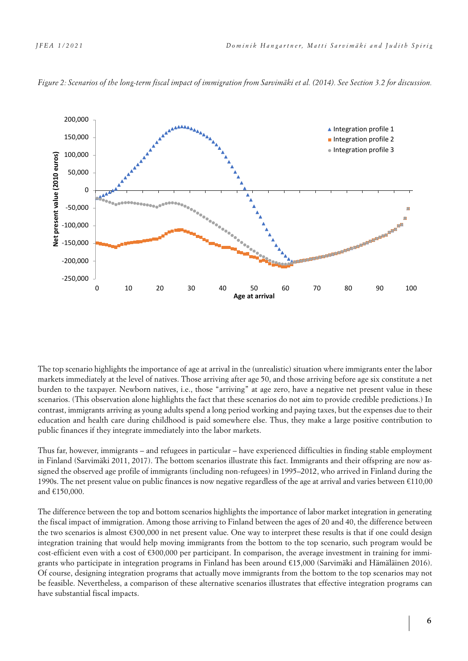

*Figure 2: Scenarios of the long-term fiscal impact of immigration from Sarvimäki et al. (2014). See Section 3.2 for discussion.*

The top scenario highlights the importance of age at arrival in the (unrealistic) situation where immigrants enter the labor markets immediately at the level of natives. Those arriving after age 50, and those arriving before age six constitute a net burden to the taxpayer. Newborn natives, i.e., those "arriving" at age zero, have a negative net present value in these scenarios. (This observation alone highlights the fact that these scenarios do not aim to provide credible predictions.) In contrast, immigrants arriving as young adults spend a long period working and paying taxes, but the expenses due to their education and health care during childhood is paid somewhere else. Thus, they make a large positive contribution to public finances if they integrate immediately into the labor markets.

Thus far, however, immigrants – and refugees in particular – have experienced difficulties in finding stable employment in Finland (Sarvimäki 2011, 2017). The bottom scenarios illustrate this fact. Immigrants and their offspring are now assigned the observed age profile of immigrants (including non-refugees) in 1995–2012, who arrived in Finland during the 1990s. The net present value on public finances is now negative regardless of the age at arrival and varies between €110,00 and €150,000.

The difference between the top and bottom scenarios highlights the importance of labor market integration in generating the fiscal impact of immigration. Among those arriving to Finland between the ages of 20 and 40, the difference between the two scenarios is almost €300,000 in net present value. One way to interpret these results is that if one could design integration training that would help moving immigrants from the bottom to the top scenario, such program would be cost-efficient even with a cost of  $\epsilon$ 300,000 per participant. In comparison, the average investment in training for immigrants who participate in integration programs in Finland has been around €15,000 (Sarvimäki and Hämäläinen 2016). Of course, designing integration programs that actually move immigrants from the bottom to the top scenarios may not be feasible. Nevertheless, a comparison of these alternative scenarios illustrates that effective integration programs can have substantial fiscal impacts.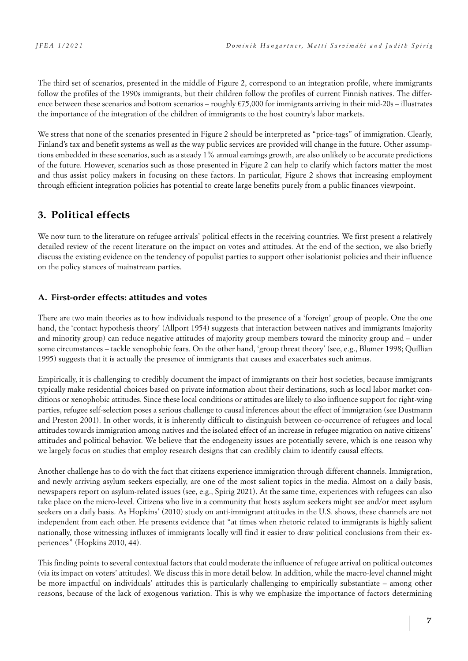The third set of scenarios, presented in the middle of Figure 2, correspond to an integration profile, where immigrants follow the profiles of the 1990s immigrants, but their children follow the profiles of current Finnish natives. The difference between these scenarios and bottom scenarios – roughly  $\epsilon$ 75,000 for immigrants arriving in their mid-20s – illustrates the importance of the integration of the children of immigrants to the host country's labor markets.

We stress that none of the scenarios presented in Figure 2 should be interpreted as "price-tags" of immigration. Clearly, Finland's tax and benefit systems as well as the way public services are provided will change in the future. Other assumptions embedded in these scenarios, such as a steady 1% annual earnings growth, are also unlikely to be accurate predictions of the future. However, scenarios such as those presented in Figure 2 can help to clarify which factors matter the most and thus assist policy makers in focusing on these factors. In particular, Figure 2 shows that increasing employment through efficient integration policies has potential to create large benefits purely from a public finances viewpoint.

# **3. Political effects**

We now turn to the literature on refugee arrivals' political effects in the receiving countries. We first present a relatively detailed review of the recent literature on the impact on votes and attitudes. At the end of the section, we also briefly discuss the existing evidence on the tendency of populist parties to support other isolationist policies and their influence on the policy stances of mainstream parties.

### **A. First-order effects: attitudes and votes**

There are two main theories as to how individuals respond to the presence of a 'foreign' group of people. One the one hand, the 'contact hypothesis theory' (Allport 1954) suggests that interaction between natives and immigrants (majority and minority group) can reduce negative attitudes of majority group members toward the minority group and – under some circumstances – tackle xenophobic fears. On the other hand, 'group threat theory' (see, e.g., Blumer 1998; Quillian 1995) suggests that it is actually the presence of immigrants that causes and exacerbates such animus.

Empirically, it is challenging to credibly document the impact of immigrants on their host societies, because immigrants typically make residential choices based on private information about their destinations, such as local labor market conditions or xenophobic attitudes. Since these local conditions or attitudes are likely to also influence support for right-wing parties, refugee self-selection poses a serious challenge to causal inferences about the effect of immigration (see Dustmann and Preston 2001). In other words, it is inherently difficult to distinguish between co-occurrence of refugees and local attitudes towards immigration among natives and the isolated effect of an increase in refugee migration on native citizens' attitudes and political behavior. We believe that the endogeneity issues are potentially severe, which is one reason why we largely focus on studies that employ research designs that can credibly claim to identify causal effects.

Another challenge has to do with the fact that citizens experience immigration through different channels. Immigration, and newly arriving asylum seekers especially, are one of the most salient topics in the media. Almost on a daily basis, newspapers report on asylum-related issues (see, e.g., Spirig 2021). At the same time, experiences with refugees can also take place on the micro-level. Citizens who live in a community that hosts asylum seekers might see and/or meet asylum seekers on a daily basis. As Hopkins' (2010) study on anti-immigrant attitudes in the U.S. shows, these channels are not independent from each other. He presents evidence that "at times when rhetoric related to immigrants is highly salient nationally, those witnessing influxes of immigrants locally will find it easier to draw political conclusions from their experiences" (Hopkins 2010, 44).

This finding points to several contextual factors that could moderate the influence of refugee arrival on political outcomes (via its impact on voters' attitudes). We discuss this in more detail below. In addition, while the macro-level channel might be more impactful on individuals' attitudes this is particularly challenging to empirically substantiate – among other reasons, because of the lack of exogenous variation. This is why we emphasize the importance of factors determining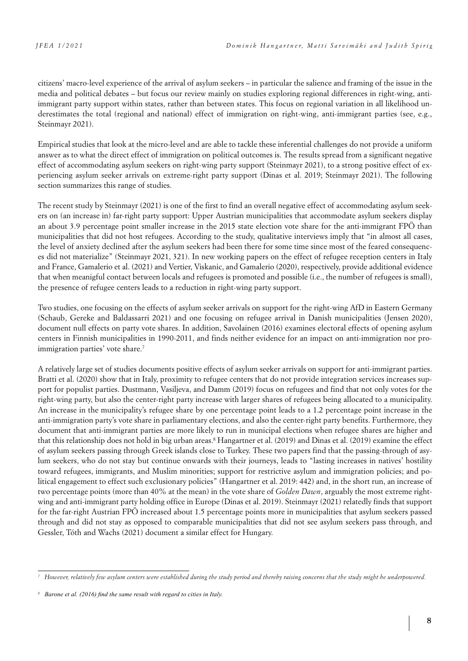citizens' macro-level experience of the arrival of asylum seekers – in particular the salience and framing of the issue in the media and political debates – but focus our review mainly on studies exploring regional differences in right-wing, antiimmigrant party support within states, rather than between states. This focus on regional variation in all likelihood underestimates the total (regional and national) effect of immigration on right-wing, anti-immigrant parties (see, e.g., Steinmayr 2021).

Empirical studies that look at the micro-level and are able to tackle these inferential challenges do not provide a uniform answer as to what the direct effect of immigration on political outcomes is. The results spread from a significant negative effect of accommodating asylum seekers on right-wing party support (Steinmayr 2021), to a strong positive effect of experiencing asylum seeker arrivals on extreme-right party support (Dinas et al. 2019; Steinmayr 2021). The following section summarizes this range of studies.

The recent study by Steinmayr (2021) is one of the first to find an overall negative effect of accommodating asylum seekers on (an increase in) far-right party support: Upper Austrian municipalities that accommodate asylum seekers display an about 3.9 percentage point smaller increase in the 2015 state election vote share for the anti-immigrant FPÖ than municipalities that did not host refugees. According to the study, qualitative interviews imply that "in almost all cases, the level of anxiety declined after the asylum seekers had been there for some time since most of the feared consequences did not materialize" (Steinmayr 2021, 321). In new working papers on the effect of refugee reception centers in Italy and France, Gamalerio et al. (2021) and Vertier, Viskanic, and Gamalerio (2020), respectively, provide additional evidence that when meanigful contact between locals and refugees is promoted and possible (i.e., the number of refugees is small), the presence of refugee centers leads to a reduction in right-wing party support.

Two studies, one focusing on the effects of asylum seeker arrivals on support for the right-wing AfD in Eastern Germany (Schaub, Gereke and Baldassarri 2021) and one focusing on refugee arrival in Danish municipalities (Jensen 2020), document null effects on party vote shares. In addition, Savolainen (2016) examines electoral effects of opening asylum centers in Finnish municipalities in 1990-2011, and finds neither evidence for an impact on anti-immigration nor proimmigration parties' vote share.<sup>7</sup>

A relatively large set of studies documents positive effects of asylum seeker arrivals on support for anti-immigrant parties. Bratti et al. (2020) show that in Italy, proximity to refugee centers that do not provide integration services increases support for populist parties. Dustmann, Vasiljeva, and Damm (2019) focus on refugees and find that not only votes for the right-wing party, but also the center-right party increase with larger shares of refugees being allocated to a municipality. An increase in the municipality's refugee share by one percentage point leads to a 1.2 percentage point increase in the anti-immigration party's vote share in parliamentary elections, and also the center-right party benefits. Furthermore, they document that anti-immigrant parties are more likely to run in municipal elections when refugee shares are higher and that this relationship does not hold in big urban areas.8 Hangartner et al. (2019) and Dinas et al. (2019) examine the effect of asylum seekers passing through Greek islands close to Turkey. These two papers find that the passing-through of asylum seekers, who do not stay but continue onwards with their journeys, leads to "lasting increases in natives' hostility toward refugees, immigrants, and Muslim minorities; support for restrictive asylum and immigration policies; and political engagement to effect such exclusionary policies" (Hangartner et al. 2019: 442) and, in the short run, an increase of two percentage points (more than 40% at the mean) in the vote share of *Golden Dawn*, arguably the most extreme rightwing and anti-immigrant party holding office in Europe (Dinas et al. 2019). Steinmayr (2021) relatedly finds that support for the far-right Austrian FPÖ increased about 1.5 percentage points more in municipalities that asylum seekers passed through and did not stay as opposed to comparable municipalities that did not see asylum seekers pass through, and Gessler, Tóth and Wachs (2021) document a similar effect for Hungary.

*<sup>7</sup> However, relatively few asylum centers were established during the study period and thereby raising concerns that the study might be underpowered.*

*<sup>8</sup> Barone et al. (2016) find the same result with regard to cities in Italy.*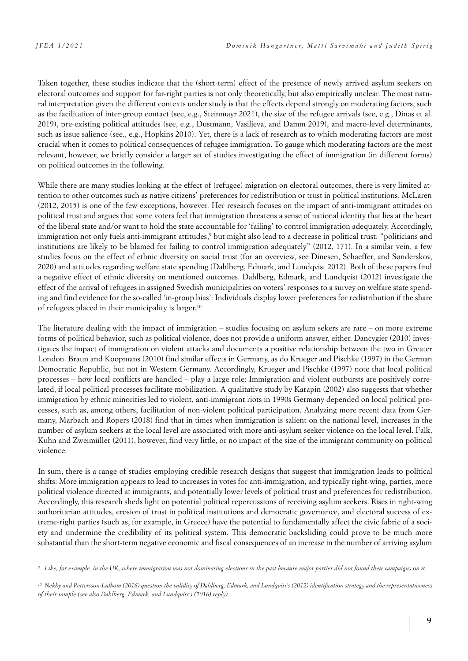Taken together, these studies indicate that the (short-term) effect of the presence of newly arrived asylum seekers on electoral outcomes and support for far-right parties is not only theoretically, but also empirically unclear. The most natural interpretation given the different contexts under study is that the effects depend strongly on moderating factors, such as the facilitation of inter-group contact (see, e.g., Steinmayr 2021), the size of the refugee arrivals (see, e.g., Dinas et al. 2019), pre-existing political attitudes (see, e.g., Dustmann, Vasiljeva, and Damm 2019), and macro-level determinants, such as issue salience (see., e.g., Hopkins 2010). Yet, there is a lack of research as to which moderating factors are most crucial when it comes to political consequences of refugee immigration. To gauge which moderating factors are the most relevant, however, we briefly consider a larger set of studies investigating the effect of immigration (in different forms) on political outcomes in the following.

While there are many studies looking at the effect of (refugee) migration on electoral outcomes, there is very limited attention to other outcomes such as native citizens' preferences for redistribution or trust in political institutions. McLaren (2012, 2015) is one of the few exceptions, however. Her research focuses on the impact of anti-immigrant attitudes on political trust and argues that some voters feel that immigration threatens a sense of national identity that lies at the heart of the liberal state and/or want to hold the state accountable for 'failing' to control immigration adequately. Accordingly, immigration not only fuels anti-immigrant attitudes,<sup>9</sup> but might also lead to a decrease in political trust: "politicians and institutions are likely to be blamed for failing to control immigration adequately" (2012, 171). In a similar vein, a few studies focus on the effect of ethnic diversity on social trust (for an overview, see Dinesen, Schaeffer, and Sønderskov, 2020) and attitudes regarding welfare state spending (Dahlberg, Edmark, and Lundqvist 2012). Both of these papers find a negative effect of ethnic diversity on mentioned outcomes. Dahlberg, Edmark, and Lundqvist (2012) investigate the effect of the arrival of refugees in assigned Swedish municipalities on voters' responses to a survey on welfare state spending and find evidence for the so-called 'in-group bias': Individuals display lower preferences for redistribution if the share of refugees placed in their municipality is larger.10

The literature dealing with the impact of immigration – studies focusing on asylum sekers are rare – on more extreme forms of political behavior, such as political violence, does not provide a uniform answer, either. Dancygier (2010) investigates the impact of immigration on violent attacks and documents a positive relationship between the two in Greater London. Braun and Koopmans (2010) find similar effects in Germany, as do Krueger and Pischke (1997) in the German Democratic Republic, but not in Western Germany. Accordingly, Krueger and Pischke (1997) note that local political processes – how local conflicts are handled – play a large role: Immigration and violent outbursts are positively correlated, if local political processes facilitate mobilization. A qualitative study by Karapin (2002) also suggests that whether immigration by ethnic minorities led to violent, anti-immigrant riots in 1990s Germany depended on local political processes, such as, among others, facilitation of non-violent political participation. Analyzing more recent data from Germany, Marbach and Ropers (2018) find that in times when immigration is salient on the national level, increases in the number of asylum seekers at the local level are associated with more anti-asylum seeker violence on the local level. Falk, Kuhn and Zweimüller (2011), however, find very little, or no impact of the size of the immigrant community on political violence.

In sum, there is a range of studies employing credible research designs that suggest that immigration leads to political shifts: More immigration appears to lead to increases in votes for anti-immigration, and typically right-wing, parties, more political violence directed at immigrants, and potentially lower levels of political trust and preferences for redistribution. Accordingly, this research sheds light on potential political repercussions of receiving asylum seekers. Rises in right-wing authoritarian attitudes, erosion of trust in political institutions and democratic governance, and electoral success of extreme-right parties (such as, for example, in Greece) have the potential to fundamentally affect the civic fabric of a society and undermine the credibility of its political system. This democratic backsliding could prove to be much more substantial than the short-term negative economic and fiscal consequences of an increase in the number of arriving asylum

*<sup>9</sup> Like, for example, in the UK, where immigration was not dominating elections in the past because major parties did not found their campaigns on it.*

*<sup>10</sup> Nekby and Pettersson-Lidbom (2016) question the validity of Dahlberg, Edmark, and Lundqvist's (2012) identification strategy and the representativeness of their sample (see also Dahlberg, Edmark, and Lundqvist's (2016) reply).*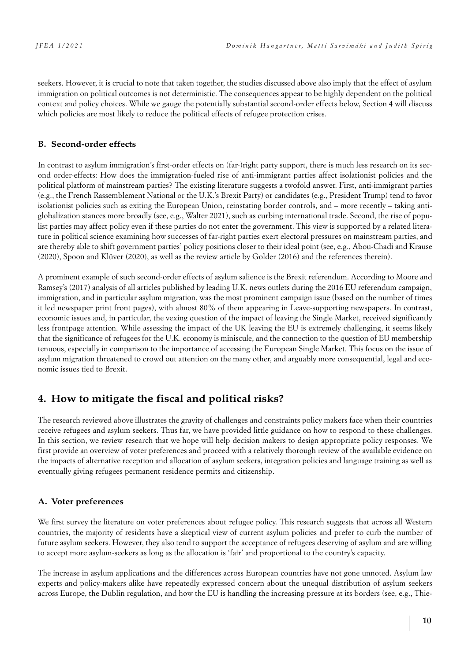seekers. However, it is crucial to note that taken together, the studies discussed above also imply that the effect of asylum immigration on political outcomes is not deterministic. The consequences appear to be highly dependent on the political context and policy choices. While we gauge the potentially substantial second-order effects below, Section 4 will discuss which policies are most likely to reduce the political effects of refugee protection crises.

### **B. Second-order effects**

In contrast to asylum immigration's first-order effects on (far-)right party support, there is much less research on its second order-effects: How does the immigration-fueled rise of anti-immigrant parties affect isolationist policies and the political platform of mainstream parties? The existing literature suggests a twofold answer. First, anti-immigrant parties (e.g., the French Rassemblement National or the U.K.'s Brexit Party) or candidates (e.g., President Trump) tend to favor isolationist policies such as exiting the European Union, reinstating border controls, and – more recently – taking antiglobalization stances more broadly (see, e.g., Walter 2021), such as curbing international trade. Second, the rise of populist parties may affect policy even if these parties do not enter the government. This view is supported by a related literature in political science examining how successes of far-right parties exert electoral pressures on mainstream parties, and are thereby able to shift government parties' policy positions closer to their ideal point (see, e.g., Abou-Chadi and Krause (2020), Spoon and Klüver (2020), as well as the review article by Golder (2016) and the references therein).

A prominent example of such second-order effects of asylum salience is the Brexit referendum. According to Moore and Ramsey's (2017) analysis of all articles published by leading U.K. news outlets during the 2016 EU referendum campaign, immigration, and in particular asylum migration, was the most prominent campaign issue (based on the number of times it led newspaper print front pages), with almost 80% of them appearing in Leave-supporting newspapers. In contrast, economic issues and, in particular, the vexing question of the impact of leaving the Single Market, received significantly less frontpage attention. While assessing the impact of the UK leaving the EU is extremely challenging, it seems likely that the significance of refugees for the U.K. economy is miniscule, and the connection to the question of EU membership tenuous, especially in comparison to the importance of accessing the European Single Market. This focus on the issue of asylum migration threatened to crowd out attention on the many other, and arguably more consequential, legal and economic issues tied to Brexit.

# **4. How to mitigate the fiscal and political risks?**

The research reviewed above illustrates the gravity of challenges and constraints policy makers face when their countries receive refugees and asylum seekers. Thus far, we have provided little guidance on how to respond to these challenges. In this section, we review research that we hope will help decision makers to design appropriate policy responses. We first provide an overview of voter preferences and proceed with a relatively thorough review of the available evidence on the impacts of alternative reception and allocation of asylum seekers, integration policies and language training as well as eventually giving refugees permanent residence permits and citizenship.

### **A. Voter preferences**

We first survey the literature on voter preferences about refugee policy. This research suggests that across all Western countries, the majority of residents have a skeptical view of current asylum policies and prefer to curb the number of future asylum seekers. However, they also tend to support the acceptance of refugees deserving of asylum and are willing to accept more asylum-seekers as long as the allocation is 'fair' and proportional to the country's capacity.

The increase in asylum applications and the differences across European countries have not gone unnoted. Asylum law experts and policy-makers alike have repeatedly expressed concern about the unequal distribution of asylum seekers across Europe, the Dublin regulation, and how the EU is handling the increasing pressure at its borders (see, e.g., Thie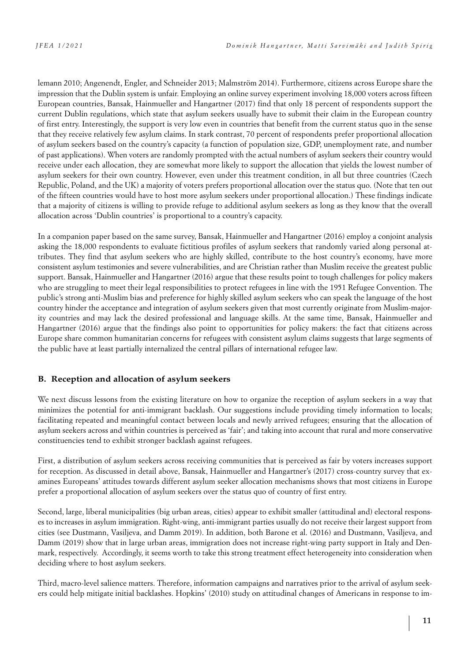lemann 2010; Angenendt, Engler, and Schneider 2013; Malmström 2014). Furthermore, citizens across Europe share the impression that the Dublin system is unfair. Employing an online survey experiment involving 18,000 voters across fifteen European countries, Bansak, Hainmueller and Hangartner (2017) find that only 18 percent of respondents support the current Dublin regulations, which state that asylum seekers usually have to submit their claim in the European country of first entry. Interestingly, the support is very low even in countries that benefit from the current status quo in the sense that they receive relatively few asylum claims. In stark contrast, 70 percent of respondents prefer proportional allocation of asylum seekers based on the country's capacity (a function of population size, GDP, unemployment rate, and number of past applications). When voters are randomly prompted with the actual numbers of asylum seekers their country would receive under each allocation, they are somewhat more likely to support the allocation that yields the lowest number of asylum seekers for their own country. However, even under this treatment condition, in all but three countries (Czech Republic, Poland, and the UK) a majority of voters prefers proportional allocation over the status quo. (Note that ten out of the fifteen countries would have to host more asylum seekers under proportional allocation.) These findings indicate that a majority of citizens is willing to provide refuge to additional asylum seekers as long as they know that the overall allocation across 'Dublin countries' is proportional to a country's capacity.

In a companion paper based on the same survey, Bansak, Hainmueller and Hangartner (2016) employ a conjoint analysis asking the 18,000 respondents to evaluate fictitious profiles of asylum seekers that randomly varied along personal attributes. They find that asylum seekers who are highly skilled, contribute to the host country's economy, have more consistent asylum testimonies and severe vulnerabilities, and are Christian rather than Muslim receive the greatest public support. Bansak, Hainmueller and Hangartner (2016) argue that these results point to tough challenges for policy makers who are struggling to meet their legal responsibilities to protect refugees in line with the 1951 Refugee Convention. The public's strong anti-Muslim bias and preference for highly skilled asylum seekers who can speak the language of the host country hinder the acceptance and integration of asylum seekers given that most currently originate from Muslim-majority countries and may lack the desired professional and language skills. At the same time, Bansak, Hainmueller and Hangartner (2016) argue that the findings also point to opportunities for policy makers: the fact that citizens across Europe share common humanitarian concerns for refugees with consistent asylum claims suggests that large segments of the public have at least partially internalized the central pillars of international refugee law.

#### **B. Reception and allocation of asylum seekers**

We next discuss lessons from the existing literature on how to organize the reception of asylum seekers in a way that minimizes the potential for anti-immigrant backlash. Our suggestions include providing timely information to locals; facilitating repeated and meaningful contact between locals and newly arrived refugees; ensuring that the allocation of asylum seekers across and within countries is perceived as 'fair'; and taking into account that rural and more conservative constituencies tend to exhibit stronger backlash against refugees.

First, a distribution of asylum seekers across receiving communities that is perceived as fair by voters increases support for reception. As discussed in detail above, Bansak, Hainmueller and Hangartner's (2017) cross-country survey that examines Europeans' attitudes towards different asylum seeker allocation mechanisms shows that most citizens in Europe prefer a proportional allocation of asylum seekers over the status quo of country of first entry.

Second, large, liberal municipalities (big urban areas, cities) appear to exhibit smaller (attitudinal and) electoral responses to increases in asylum immigration. Right-wing, anti-immigrant parties usually do not receive their largest support from cities (see Dustmann, Vasiljeva, and Damm 2019). In addition, both Barone et al. (2016) and Dustmann, Vasiljeva, and Damm (2019) show that in large urban areas, immigration does not increase right-wing party support in Italy and Denmark, respectively. Accordingly, it seems worth to take this strong treatment effect heterogeneity into consideration when deciding where to host asylum seekers.

Third, macro-level salience matters. Therefore, information campaigns and narratives prior to the arrival of asylum seekers could help mitigate initial backlashes. Hopkins' (2010) study on attitudinal changes of Americans in response to im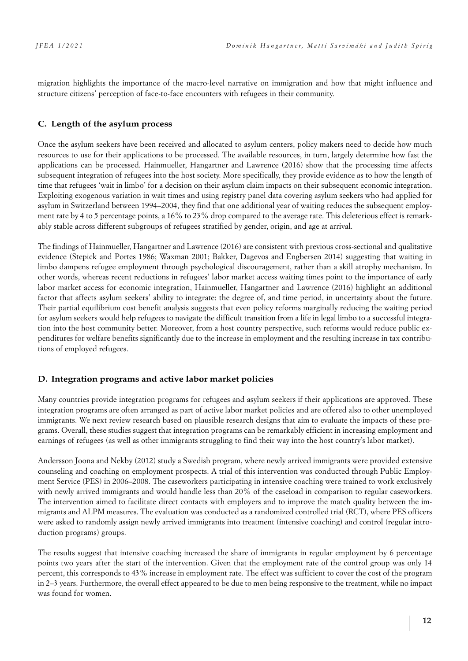migration highlights the importance of the macro-level narrative on immigration and how that might influence and structure citizens' perception of face-to-face encounters with refugees in their community.

#### **C. Length of the asylum process**

Once the asylum seekers have been received and allocated to asylum centers, policy makers need to decide how much resources to use for their applications to be processed. The available resources, in turn, largely determine how fast the applications can be processed. Hainmueller, Hangartner and Lawrence (2016) show that the processing time affects subsequent integration of refugees into the host society. More specifically, they provide evidence as to how the length of time that refugees 'wait in limbo' for a decision on their asylum claim impacts on their subsequent economic integration. Exploiting exogenous variation in wait times and using registry panel data covering asylum seekers who had applied for asylum in Switzerland between 1994–2004, they find that one additional year of waiting reduces the subsequent employment rate by 4 to 5 percentage points, a 16% to 23% drop compared to the average rate. This deleterious effect is remarkably stable across different subgroups of refugees stratified by gender, origin, and age at arrival.

The findings of Hainmueller, Hangartner and Lawrence (2016) are consistent with previous cross-sectional and qualitative evidence (Stepick and Portes 1986; Waxman 2001; Bakker, Dagevos and Engbersen 2014) suggesting that waiting in limbo dampens refugee employment through psychological discouragement, rather than a skill atrophy mechanism. In other words, whereas recent reductions in refugees' labor market access waiting times point to the importance of early labor market access for economic integration, Hainmueller, Hangartner and Lawrence (2016) highlight an additional factor that affects asylum seekers' ability to integrate: the degree of, and time period, in uncertainty about the future. Their partial equilibrium cost benefit analysis suggests that even policy reforms marginally reducing the waiting period for asylum seekers would help refugees to navigate the difficult transition from a life in legal limbo to a successful integration into the host community better. Moreover, from a host country perspective, such reforms would reduce public expenditures for welfare benefits significantly due to the increase in employment and the resulting increase in tax contributions of employed refugees.

#### **D. Integration programs and active labor market policies**

Many countries provide integration programs for refugees and asylum seekers if their applications are approved. These integration programs are often arranged as part of active labor market policies and are offered also to other unemployed immigrants. We next review research based on plausible research designs that aim to evaluate the impacts of these programs. Overall, these studies suggest that integration programs can be remarkably efficient in increasing employment and earnings of refugees (as well as other immigrants struggling to find their way into the host country's labor market).

Andersson Joona and Nekby (2012) study a Swedish program, where newly arrived immigrants were provided extensive counseling and coaching on employment prospects. A trial of this intervention was conducted through Public Employment Service (PES) in 2006–2008. The caseworkers participating in intensive coaching were trained to work exclusively with newly arrived immigrants and would handle less than 20% of the caseload in comparison to regular caseworkers. The intervention aimed to facilitate direct contacts with employers and to improve the match quality between the immigrants and ALPM measures. The evaluation was conducted as a randomized controlled trial (RCT), where PES officers were asked to randomly assign newly arrived immigrants into treatment (intensive coaching) and control (regular introduction programs) groups.

The results suggest that intensive coaching increased the share of immigrants in regular employment by 6 percentage points two years after the start of the intervention. Given that the employment rate of the control group was only 14 percent, this corresponds to 43% increase in employment rate. The effect was sufficient to cover the cost of the program in 2–3 years. Furthermore, the overall effect appeared to be due to men being responsive to the treatment, while no impact was found for women.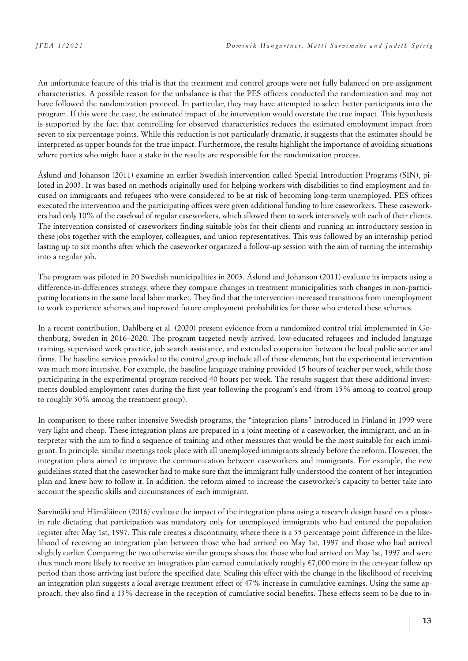An unfortunate feature of this trial is that the treatment and control groups were not fully balanced on pre-assignment characteristics. A possible reason for the unbalance is that the PES officers conducted the randomization and may not have followed the randomization protocol. In particular, they may have attempted to select better participants into the program. If this were the case, the estimated impact of the intervention would overstate the true impact. This hypothesis is supported by the fact that controlling for observed characteristics reduces the estimated employment impact from seven to six percentage points. While this reduction is not particularly dramatic, it suggests that the estimates should be interpreted as upper bounds for the true impact. Furthermore, the results highlight the importance of avoiding situations where parties who might have a stake in the results are responsible for the randomization process.

Åslund and Johanson (2011) examine an earlier Swedish intervention called Special Introduction Programs (SIN), piloted in 2003. It was based on methods originally used for helping workers with disabilities to find employment and focused on immigrants and refugees who were considered to be at risk of becoming long-term unemployed. PES offices executed the intervention and the participating offices were given additional funding to hire caseworkers. These caseworkers had only 10% of the caseload of regular caseworkers, which allowed them to work intensively with each of their clients. The intervention consisted of caseworkers finding suitable jobs for their clients and running an introductory session in these jobs together with the employer, colleagues, and union representatives. This was followed by an internship period lasting up to six months after which the caseworker organized a follow-up session with the aim of turning the internship into a regular job.

The program was piloted in 20 Swedish municipalities in 2003. Åslund and Johanson (2011) evaluate its impacts using a difference-in-differences strategy, where they compare changes in treatment municipalities with changes in non-participating locations in the same local labor market. They find that the intervention increased transitions from unemployment to work experience schemes and improved future employment probabilities for those who entered these schemes.

In a recent contribution, Dahlberg et al. (2020) present evidence from a randomized control trial implemented in Gothenburg, Sweden in 2016–2020. The program targeted newly arrived, low-educated refugees and included language training, supervised work practice, job search assistance, and extended cooperation between the local public sector and firms. The baseline services provided to the control group include all of these elements, but the experimental intervention was much more intensive. For example, the baseline language training provided 15 hours of teacher per week, while those participating in the experimental program received 40 hours per week. The results suggest that these additional investments doubled employment rates during the first year following the program's end (from 15% among to control group to roughly 30% among the treatment group).

In comparison to these rather intensive Swedish programs, the "integration plans" introduced in Finland in 1999 were very light and cheap. These integration plans are prepared in a joint meeting of a caseworker, the immigrant, and an interpreter with the aim to find a sequence of training and other measures that would be the most suitable for each immigrant. In principle, similar meetings took place with all unemployed immigrants already before the reform. However, the integration plans aimed to improve the communication between caseworkers and immigrants. For example, the new guidelines stated that the caseworker had to make sure that the immigrant fully understood the content of her integration plan and knew how to follow it. In addition, the reform aimed to increase the caseworker's capacity to better take into account the specific skills and circumstances of each immigrant.

Sarvimäki and Hämäläinen (2016) evaluate the impact of the integration plans using a research design based on a phasein rule dictating that participation was mandatory only for unemployed immigrants who had entered the population register after May 1st, 1997. This rule creates a discontinuity, where there is a 35 percentage point difference in the likelihood of receiving an integration plan between those who had arrived on May 1st, 1997 and those who had arrived slightly earlier. Comparing the two otherwise similar groups shows that those who had arrived on May 1st, 1997 and were thus much more likely to receive an integration plan earned cumulatively roughly €7,000 more in the ten-year follow up period than those arriving just before the specified date. Scaling this effect with the change in the likelihood of receiving an integration plan suggests a local average treatment effect of 47% increase in cumulative earnings. Using the same approach, they also find a 13% decrease in the reception of cumulative social benefits. These effects seem to be due to in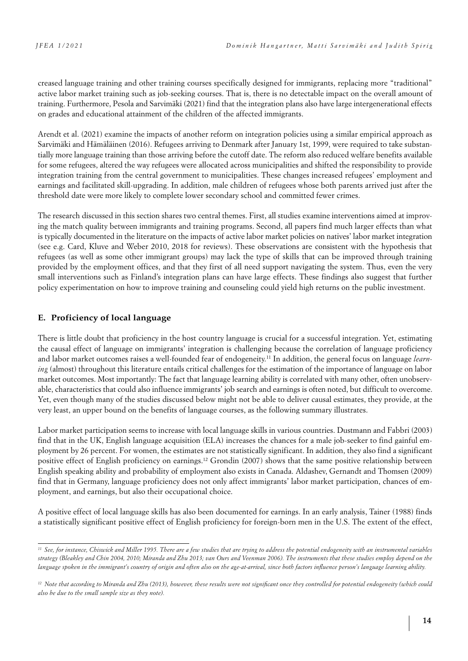creased language training and other training courses specifically designed for immigrants, replacing more "traditional" active labor market training such as job-seeking courses. That is, there is no detectable impact on the overall amount of training. Furthermore, Pesola and Sarvimäki (2021) find that the integration plans also have large intergenerational effects on grades and educational attainment of the children of the affected immigrants.

Arendt et al. (2021) examine the impacts of another reform on integration policies using a similar empirical approach as Sarvimäki and Hämäläinen (2016). Refugees arriving to Denmark after January 1st, 1999, were required to take substantially more language training than those arriving before the cutoff date. The reform also reduced welfare benefits available for some refugees, altered the way refugees were allocated across municipalities and shifted the responsibility to provide integration training from the central government to municipalities. These changes increased refugees' employment and earnings and facilitated skill-upgrading. In addition, male children of refugees whose both parents arrived just after the threshold date were more likely to complete lower secondary school and committed fewer crimes.

The research discussed in this section shares two central themes. First, all studies examine interventions aimed at improving the match quality between immigrants and training programs. Second, all papers find much larger effects than what is typically documented in the literature on the impacts of active labor market policies on natives' labor market integration (see e.g. Card, Kluve and Weber 2010, 2018 for reviews). These observations are consistent with the hypothesis that refugees (as well as some other immigrant groups) may lack the type of skills that can be improved through training provided by the employment offices, and that they first of all need support navigating the system. Thus, even the very small interventions such as Finland's integration plans can have large effects. These findings also suggest that further policy experimentation on how to improve training and counseling could yield high returns on the public investment.

### **E. Proficiency of local language**

There is little doubt that proficiency in the host country language is crucial for a successful integration. Yet, estimating the causal effect of language on immigrants' integration is challenging because the correlation of language proficiency and labor market outcomes raises a well-founded fear of endogeneity.11 In addition, the general focus on language *learning* (almost) throughout this literature entails critical challenges for the estimation of the importance of language on labor market outcomes. Most importantly: The fact that language learning ability is correlated with many other, often unobservable, characteristics that could also influence immigrants' job search and earnings is often noted, but difficult to overcome. Yet, even though many of the studies discussed below might not be able to deliver causal estimates, they provide, at the very least, an upper bound on the benefits of language courses, as the following summary illustrates.

Labor market participation seems to increase with local language skills in various countries. Dustmann and Fabbri (2003) find that in the UK, English language acquisition (ELA) increases the chances for a male job-seeker to find gainful employment by 26 percent. For women, the estimates are not statistically significant. In addition, they also find a significant positive effect of English proficiency on earnings.12 Grondin (2007) shows that the same positive relationship between English speaking ability and probability of employment also exists in Canada. Aldashev, Gernandt and Thomsen (2009) find that in Germany, language proficiency does not only affect immigrants' labor market participation, chances of employment, and earnings, but also their occupational choice.

A positive effect of local language skills has also been documented for earnings. In an early analysis, Tainer (1988) finds a statistically significant positive effect of English proficiency for foreign-born men in the U.S. The extent of the effect,

*<sup>11</sup> See, for instance, Chiswick and Miller 1995. There are a few studies that are trying to address the potential endogeneity with an instrumental variables strategy (Bleakley and Chin 2004, 2010; Miranda and Zhu 2013; van Ours and Veenman 2006). The instruments that these studies employ depend on the language spoken in the immigrant's country of origin and often also on the age-at-arrival, since both factors influence person's language learning ability.*

<sup>&</sup>lt;sup>12</sup> Note that according to Miranda and Zhu (2013), however, these results were not significant once they controlled for potential endogeneity (which could *also be due to the small sample size as they note).*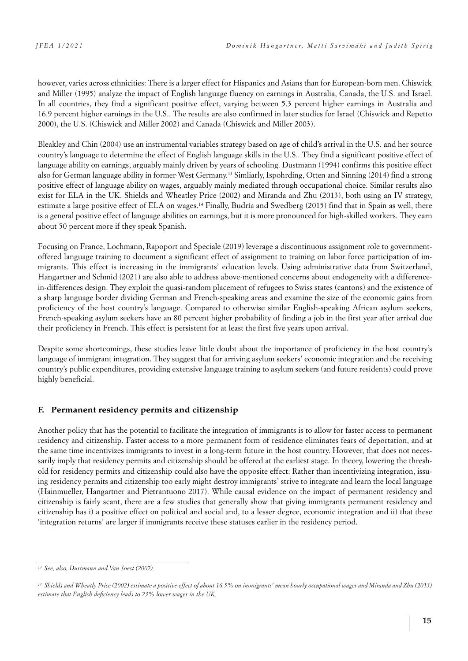however, varies across ethnicities: There is a larger effect for Hispanics and Asians than for European-born men. Chiswick and Miller (1995) analyze the impact of English language fluency on earnings in Australia, Canada, the U.S. and Israel. In all countries, they find a significant positive effect, varying between 5.3 percent higher earnings in Australia and 16.9 percent higher earnings in the U.S.. The results are also confirmed in later studies for Israel (Chiswick and Repetto 2000), the U.S. (Chiswick and Miller 2002) and Canada (Chiswick and Miller 2003).

Bleakley and Chin (2004) use an instrumental variables strategy based on age of child's arrival in the U.S. and her source country's language to determine the effect of English language skills in the U.S.. They find a significant positive effect of language ability on earnings, arguably mainly driven by years of schooling. Dustmann (1994) confirms this positive effect also for German language ability in former-West Germany.13 Simliarly, Ispohrding, Otten and Sinning (2014) find a strong positive effect of language ability on wages, arguably mainly mediated through occupational choice. Similar results also exist for ELA in the UK. Shields and Wheatley Price (2002) and Miranda and Zhu (2013), both using an IV strategy, estimate a large positive effect of ELA on wages.14 Finally, Budría and Swedberg (2015) find that in Spain as well, there is a general positive effect of language abilities on earnings, but it is more pronounced for high-skilled workers. They earn about 50 percent more if they speak Spanish.

Focusing on France, Lochmann, Rapoport and Speciale (2019) leverage a discontinuous assignment role to governmentoffered language training to document a significant effect of assignment to training on labor force participation of immigrants. This effect is increasing in the immigrants' education levels. Using administrative data from Switzerland, Hangartner and Schmid (2021) are also able to address above-mentioned concerns about endogeneity with a differencein-differences design. They exploit the quasi-random placement of refugees to Swiss states (cantons) and the existence of a sharp language border dividing German and French-speaking areas and examine the size of the economic gains from proficiency of the host country's language. Compared to otherwise similar English-speaking African asylum seekers, French-speaking asylum seekers have an 80 percent higher probability of finding a job in the first year after arrival due their proficiency in French. This effect is persistent for at least the first five years upon arrival.

Despite some shortcomings, these studies leave little doubt about the importance of proficiency in the host country's language of immigrant integration. They suggest that for arriving asylum seekers' economic integration and the receiving country's public expenditures, providing extensive language training to asylum seekers (and future residents) could prove highly beneficial.

### **F. Permanent residency permits and citizenship**

Another policy that has the potential to facilitate the integration of immigrants is to allow for faster access to permanent residency and citizenship. Faster access to a more permanent form of residence eliminates fears of deportation, and at the same time incentivizes immigrants to invest in a long-term future in the host country. However, that does not necessarily imply that residency permits and citizenship should be offered at the earliest stage. In theory, lowering the threshold for residency permits and citizenship could also have the opposite effect: Rather than incentivizing integration, issuing residency permits and citizenship too early might destroy immigrants' strive to integrate and learn the local language (Hainmueller, Hangartner and Pietrantuono 2017). While causal evidence on the impact of permanent residency and citizenship is fairly scant, there are a few studies that generally show that giving immigrants permanent residency and citizenship has i) a positive effect on political and social and, to a lesser degree, economic integration and ii) that these 'integration returns' are larger if immigrants receive these statuses earlier in the residency period.

*<sup>13</sup> See, also, Dustmann and Van Soest (2002).*

*<sup>14</sup> Shields and Wheatly Price (2002) estimate a positive effect of about 16.5% on immigrants' mean hourly occupational wages and Miranda and Zhu (2013) estimate that English deficiency leads to 23% lower wages in the UK.*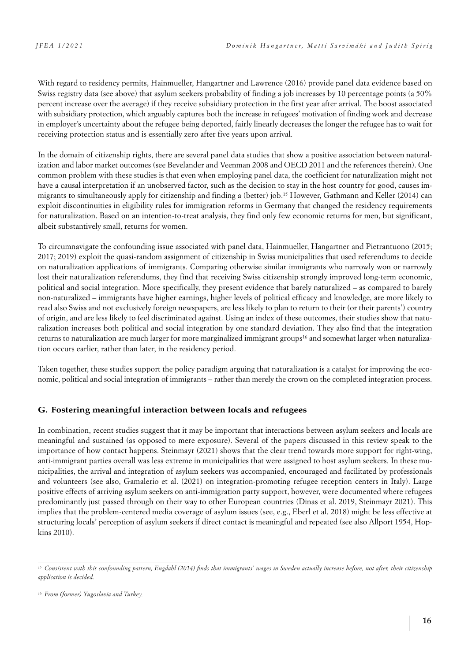With regard to residency permits, Hainmueller, Hangartner and Lawrence (2016) provide panel data evidence based on Swiss registry data (see above) that asylum seekers probability of finding a job increases by 10 percentage points (a 50% percent increase over the average) if they receive subsidiary protection in the first year after arrival. The boost associated with subsidiary protection, which arguably captures both the increase in refugees' motivation of finding work and decrease in employer's uncertainty about the refugee being deported, fairly linearly decreases the longer the refugee has to wait for receiving protection status and is essentially zero after five years upon arrival.

In the domain of citizenship rights, there are several panel data studies that show a positive association between naturalization and labor market outcomes (see Bevelander and Veenman 2008 and OECD 2011 and the references therein). One common problem with these studies is that even when employing panel data, the coefficient for naturalization might not have a causal interpretation if an unobserved factor, such as the decision to stay in the host country for good, causes immigrants to simultaneously apply for citizenship and finding a (better) job.15 However, Gathmann and Keller (2014) can exploit discontinuities in eligibility rules for immigration reforms in Germany that changed the residency requirements for naturalization. Based on an intention-to-treat analysis, they find only few economic returns for men, but significant, albeit substantively small, returns for women.

To circumnavigate the confounding issue associated with panel data, Hainmueller, Hangartner and Pietrantuono (2015; 2017; 2019) exploit the quasi-random assignment of citizenship in Swiss municipalities that used referendums to decide on naturalization applications of immigrants. Comparing otherwise similar immigrants who narrowly won or narrowly lost their naturalization referendums, they find that receiving Swiss citizenship strongly improved long-term economic, political and social integration. More specifically, they present evidence that barely naturalized – as compared to barely non-naturalized – immigrants have higher earnings, higher levels of political efficacy and knowledge, are more likely to read also Swiss and not exclusively foreign newspapers, are less likely to plan to return to their (or their parents') country of origin, and are less likely to feel discriminated against. Using an index of these outcomes, their studies show that naturalization increases both political and social integration by one standard deviation. They also find that the integration returns to naturalization are much larger for more marginalized immigrant groups<sup>16</sup> and somewhat larger when naturalization occurs earlier, rather than later, in the residency period.

Taken together, these studies support the policy paradigm arguing that naturalization is a catalyst for improving the economic, political and social integration of immigrants – rather than merely the crown on the completed integration process.

### **G. Fostering meaningful interaction between locals and refugees**

In combination, recent studies suggest that it may be important that interactions between asylum seekers and locals are meaningful and sustained (as opposed to mere exposure). Several of the papers discussed in this review speak to the importance of how contact happens. Steinmayr (2021) shows that the clear trend towards more support for right-wing, anti-immigrant parties overall was less extreme in municipalities that were assigned to host asylum seekers. In these municipalities, the arrival and integration of asylum seekers was accompanied, encouraged and facilitated by professionals and volunteers (see also, Gamalerio et al. (2021) on integration-promoting refugee reception centers in Italy). Large positive effects of arriving asylum seekers on anti-immigration party support, however, were documented where refugees predominantly just passed through on their way to other European countries (Dinas et al. 2019, Steinmayr 2021). This implies that the problem-centered media coverage of asylum issues (see, e.g., Eberl et al. 2018) might be less effective at structuring locals' perception of asylum seekers if direct contact is meaningful and repeated (see also Allport 1954, Hopkins 2010).

<sup>&</sup>lt;sup>15</sup> Consistent with this confounding pattern, Engdahl (2014) finds that immigrants' wages in Sweden actually increase before, not after, their citizenship *application is decided.* 

*<sup>16</sup> From (former) Yugoslavia and Turkey.*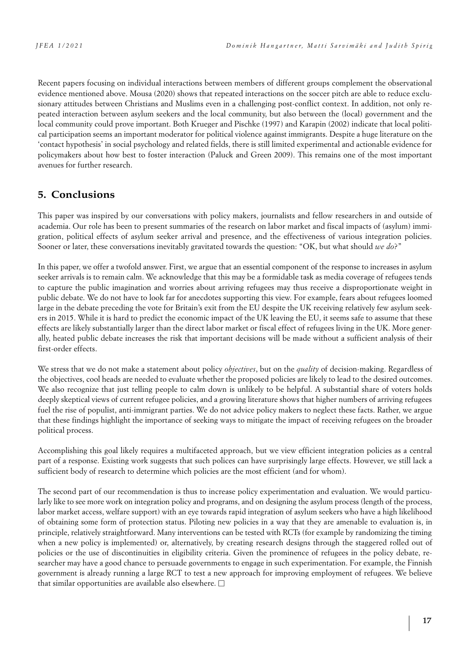Recent papers focusing on individual interactions between members of different groups complement the observational evidence mentioned above. Mousa (2020) shows that repeated interactions on the soccer pitch are able to reduce exclusionary attitudes between Christians and Muslims even in a challenging post-conflict context. In addition, not only repeated interaction between asylum seekers and the local community, but also between the (local) government and the local community could prove important. Both Krueger and Pischke (1997) and Karapin (2002) indicate that local political participation seems an important moderator for political violence against immigrants. Despite a huge literature on the 'contact hypothesis' in social psychology and related fields, there is still limited experimental and actionable evidence for policymakers about how best to foster interaction (Paluck and Green 2009). This remains one of the most important avenues for further research.

# **5. Conclusions**

This paper was inspired by our conversations with policy makers, journalists and fellow researchers in and outside of academia. Our role has been to present summaries of the research on labor market and fiscal impacts of (asylum) immigration, political effects of asylum seeker arrival and presence, and the effectiveness of various integration policies. Sooner or later, these conversations inevitably gravitated towards the question: "OK, but what should *we do*?"

In this paper, we offer a twofold answer. First, we argue that an essential component of the response to increases in asylum seeker arrivals is to remain calm. We acknowledge that this may be a formidable task as media coverage of refugees tends to capture the public imagination and worries about arriving refugees may thus receive a disproportionate weight in public debate. We do not have to look far for anecdotes supporting this view. For example, fears about refugees loomed large in the debate preceding the vote for Britain's exit from the EU despite the UK receiving relatively few asylum seekers in 2015. While it is hard to predict the economic impact of the UK leaving the EU, it seems safe to assume that these effects are likely substantially larger than the direct labor market or fiscal effect of refugees living in the UK. More generally, heated public debate increases the risk that important decisions will be made without a sufficient analysis of their first-order effects.

We stress that we do not make a statement about policy *objectives*, but on the *quality* of decision-making. Regardless of the objectives, cool heads are needed to evaluate whether the proposed policies are likely to lead to the desired outcomes. We also recognize that just telling people to calm down is unlikely to be helpful. A substantial share of voters holds deeply skeptical views of current refugee policies, and a growing literature shows that higher numbers of arriving refugees fuel the rise of populist, anti-immigrant parties. We do not advice policy makers to neglect these facts. Rather, we argue that these findings highlight the importance of seeking ways to mitigate the impact of receiving refugees on the broader political process.

Accomplishing this goal likely requires a multifaceted approach, but we view efficient integration policies as a central part of a response. Existing work suggests that such polices can have surprisingly large effects. However, we still lack a sufficient body of research to determine which policies are the most efficient (and for whom).

The second part of our recommendation is thus to increase policy experimentation and evaluation. We would particularly like to see more work on integration policy and programs, and on designing the asylum process (length of the process, labor market access, welfare support) with an eye towards rapid integration of asylum seekers who have a high likelihood of obtaining some form of protection status. Piloting new policies in a way that they are amenable to evaluation is, in principle, relatively straightforward. Many interventions can be tested with RCTs (for example by randomizing the timing when a new policy is implemented) or, alternatively, by creating research designs through the staggered rolled out of policies or the use of discontinuities in eligibility criteria. Given the prominence of refugees in the policy debate, researcher may have a good chance to persuade governments to engage in such experimentation. For example, the Finnish government is already running a large RCT to test a new approach for improving employment of refugees. We believe that similar opportunities are available also elsewhere.  $\square$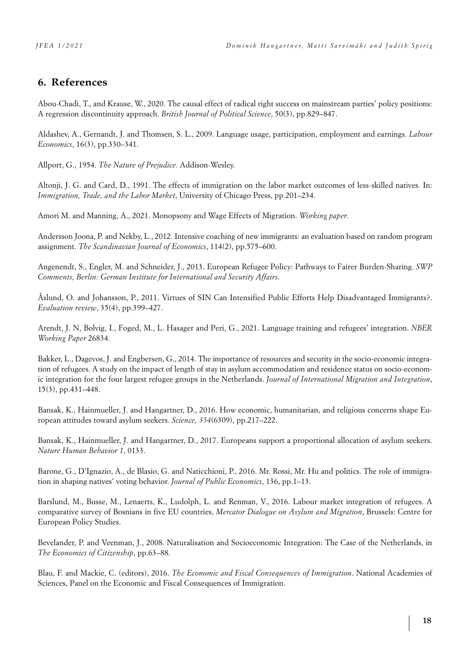# **6. References**

Abou-Chadi, T., and Krause, W., 2020. The causal effect of radical right success on mainstream parties' policy positions: A regression discontinuity approach. *British Journal of Political Science*, 50(3), pp.829–847.

Aldashev, A., Gernandt, J. and Thomsen, S. L., 2009. Language usage, participation, employment and earnings. *Labour Economics*, 16(3), pp.330–341.

Allport, G., 1954. *The Nature of Prejudice.* Addison-Wesley.

Altonji, J. G. and Card, D., 1991. The effects of immigration on the labor market outcomes of less-skilled natives. In: *Immigration, Trade, and the Labor Market*, University of Chicago Press, pp.201–234.

Amori M. and Manning, A., 2021. Monopsony and Wage Effects of Migration. *Working paper*.

Andersson Joona, P. and Nekby, L., 2012. Intensive coaching of new immigrants: an evaluation based on random program assignment. *The Scandinavian Journal of Economics*, 114(2), pp.575–600.

Angenendt, S., Engler, M. and Schneider, J., 2013. European Refugee Policy: Pathways to Fairer Burden-Sharing. *SWP Comments, Berlin: German Institute for International and Security Affairs*.

Åslund, O. and Johansson, P., 2011. Virtues of SIN Can Intensified Public Efforts Help Disadvantaged Immigrants?. *Evaluation review*, 35(4), pp.399–427.

Arendt, J. N, Bolvig, I., Foged, M., L. Hasager and Peri, G., 2021. Language training and refugees' integration. *NBER Working Paper* 26834.

Bakker, L., Dagevos, J. and Engbersen, G., 2014. The importance of resources and security in the socio-economic integration of refugees. A study on the impact of length of stay in asylum accommodation and residence status on socio-economic integration for the four largest refugee groups in the Netherlands. *Journal of International Migration and Integration*, 15(3), pp.431–448.

Bansak, K., Hainmueller, J. and Hangartner, D., 2016. How economic, humanitarian, and religious concerns shape European attitudes toward asylum seekers. *Science, 354*(6309), pp.217–222.

Bansak, K., Hainmueller, J. and Hangartner, D., 2017. Europeans support a proportional allocation of asylum seekers. *Nature Human Behavior 1*, 0133.

Barone, G., D'Ignazio, A., de Blasio, G. and Naticchioni, P., 2016. Mr. Rossi, Mr. Hu and politics. The role of immigration in shaping natives' voting behavior. *Journal of Public Economics*, 136, pp.1–13.

Barslund, M., Busse, M., Lenaerts, K., Ludolph, L. and Renman, V., 2016. Labour market integration of refugees. A comparative survey of Bosnians in five EU countries, *Mercator Dialogue on Asylum and Migration*, Brussels: Centre for European Policy Studies.

Bevelander, P. and Veenman, J., 2008. Naturalisation and Socioeconomic Integration: The Case of the Netherlands, in *The Economics of Citizenship*, pp.63–88.

Blau, F. and Mackie, C. (editors), 2016. *The Economic and Fiscal Consequences of Immigration*. National Academies of Sciences, Panel on the Economic and Fiscal Consequences of Immigration.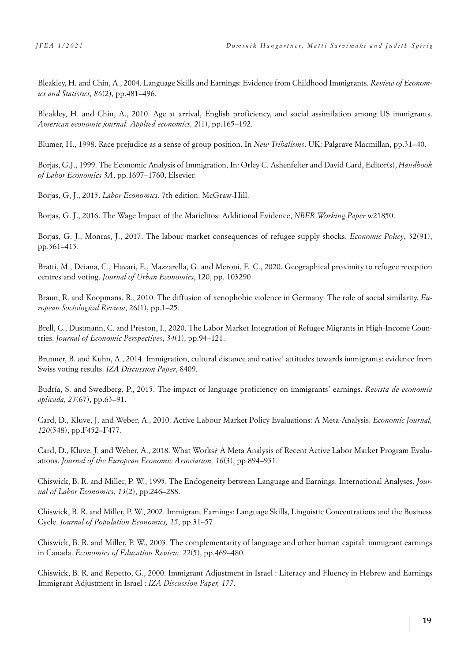Bleakley, H. and Chin, A., 2004. Language Skills and Earnings: Evidence from Childhood Immigrants. *Review of Economics and Statistics, 86*(2), pp.481–496.

Bleakley, H. and Chin, A., 2010. Age at arrival, English proficiency, and social assimilation among US immigrants. *American economic journal. Applied economics, 2*(1), pp.165–192.

Blumer, H., 1998. Race prejudice as a sense of group position. In *New Tribalisms*. UK: Palgrave Macmillan, pp.31–40.

Borjas, G.J., 1999. The Economic Analysis of Immigration, In: Orley C. Ashenfelter and David Card, Editor(s), *Handbook of Labor Economics 3A*, pp.1697–1760, Elsevier.

Borjas, G, J., 2015. *Labor Economics*. 7th edition. McGraw-Hill.

Borjas, G. J., 2016. The Wage Impact of the Marielitos: Additional Evidence, *NBER Working Paper* w21850.

Borjas, G. J., Monras, J., 2017. The labour market consequences of refugee supply shocks, *Economic Policy*, 32(91), pp.361–413.

Bratti, M., Deiana, C., Havari, E., Mazzarella, G. and Meroni, E. C., 2020. Geographical proximity to refugee reception centres and voting. *Journal of Urban Economics*, 120, pp. 103290

Braun, R. and Koopmans, R., 2010. The diffusion of xenophobic violence in Germany: The role of social similarity. *European Sociological Review*, 26(1), pp.1–25.

Brell, C., Dustmann, C. and Preston, I., 2020. The Labor Market Integration of Refugee Migrants in High-Income Countries. *Journal of Economic Perspectives*, *34*(1), pp.94–121.

Brunner, B. and Kuhn, A., 2014. Immigration, cultural distance and native' attitudes towards immigrants: evidence from Swiss voting results. *IZA Discussion Paper*, 8409.

Budría, S. and Swedberg, P., 2015. The impact of language proficiency on immigrants' earnings. *Revista de economía aplicada, 23*(67), pp.63–91.

Card, D., Kluve, J. and Weber, A., 2010. Active Labour Market Policy Evaluations: A Meta-Analysis. *Economic Journal, 120*(548), pp.F452–F477.

Card, D., Kluve, J. and Weber, A., 2018. What Works? A Meta Analysis of Recent Active Labor Market Program Evaluations. *Journal of the European Economic Association, 16*(3), pp.894–931.

Chiswick, B. R. and Miller, P. W., 1995. The Endogeneity between Language and Earnings: International Analyses. *Journal of Labor Economics, 13*(2), pp.246–288.

Chiswick, B. R. and Miller, P. W., 2002. Immigrant Earnings: Language Skills, Linguistic Concentrations and the Business Cycle. *Journal of Population Economics, 15*, pp.31–57.

Chiswick, B. R. and Miller, P. W., 2003. The complementarity of language and other human capital: immigrant earnings in Canada. *Economics of Education Review, 22*(5), pp.469–480.

Chiswick, B. R. and Repetto, G., 2000. Immigrant Adjustment in Israel : Literacy and Fluency in Hebrew and Earnings Immigrant Adjustment in Israel : *IZA Discussion Paper, 177*.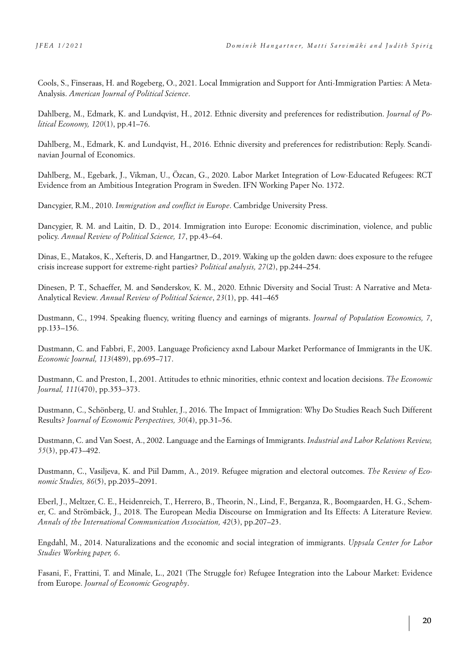Cools, S., Finseraas, H. and Rogeberg, O., 2021. Local Immigration and Support for Anti-Immigration Parties: A Meta-Analysis. *American Journal of Political Science*.

Dahlberg, M., Edmark, K. and Lundqvist, H., 2012. Ethnic diversity and preferences for redistribution. *Journal of Political Economy, 120*(1), pp.41–76.

Dahlberg, M., Edmark, K. and Lundqvist, H., 2016. Ethnic diversity and preferences for redistribution: Reply. Scandinavian Journal of Economics.

Dahlberg, M., Egebark, J., Vikman, U., Özcan, G., 2020. Labor Market Integration of Low-Educated Refugees: RCT Evidence from an Ambitious Integration Program in Sweden. IFN Working Paper No. 1372.

Dancygier, R.M., 2010. *Immigration and conflict in Europe*. Cambridge University Press.

Dancygier, R. M. and Laitin, D. D., 2014. Immigration into Europe: Economic discrimination, violence, and public policy. *Annual Review of Political Science, 17*, pp.43–64.

Dinas, E., Matakos, K., Xefteris, D. and Hangartner, D., 2019. Waking up the golden dawn: does exposure to the refugee crisis increase support for extreme-right parties? *Political analysis, 27*(2), pp.244–254.

Dinesen, P. T., Schaeffer, M. and Sønderskov, K. M., 2020. Ethnic Diversity and Social Trust: A Narrative and Meta-Analytical Review. *Annual Review of Political Science*, *23*(1), pp. 441–465

Dustmann, C., 1994. Speaking fluency, writing fluency and earnings of migrants. *Journal of Population Economics, 7*, pp.133–156.

Dustmann, C. and Fabbri, F., 2003. Language Proficiency axnd Labour Market Performance of Immigrants in the UK. *Economic Journal, 113*(489), pp.695–717.

Dustmann, C. and Preston, I., 2001. Attitudes to ethnic minorities, ethnic context and location decisions. *The Economic Journal, 111*(470), pp.353–373.

Dustmann, C., Schönberg, U. and Stuhler, J., 2016. The Impact of Immigration: Why Do Studies Reach Such Different Results? *Journal of Economic Perspectives, 30*(4), pp.31–56.

Dustmann, C. and Van Soest, A., 2002. Language and the Earnings of Immigrants. *Industrial and Labor Relations Review, 55*(3), pp.473–492.

Dustmann, C., Vasiljeva, K. and Piil Damm, A., 2019. Refugee migration and electoral outcomes. *The Review of Economic Studies, 86*(5), pp.2035–2091.

Eberl, J., Meltzer, C. E., Heidenreich, T., Herrero, B., Theorin, N., Lind, F., Berganza, R., Boomgaarden, H. G., Schemer, C. and Strömbäck, J., 2018. The European Media Discourse on Immigration and Its Effects: A Literature Review. *Annals of the International Communication Association, 42*(3), pp.207–23.

Engdahl, M., 2014. Naturalizations and the economic and social integration of immigrants. *Uppsala Center for Labor Studies Working paper, 6*.

Fasani, F., Frattini, T. and Minale, L., 2021 (The Struggle for) Refugee Integration into the Labour Market: Evidence from Europe. *Journal of Economic Geography*.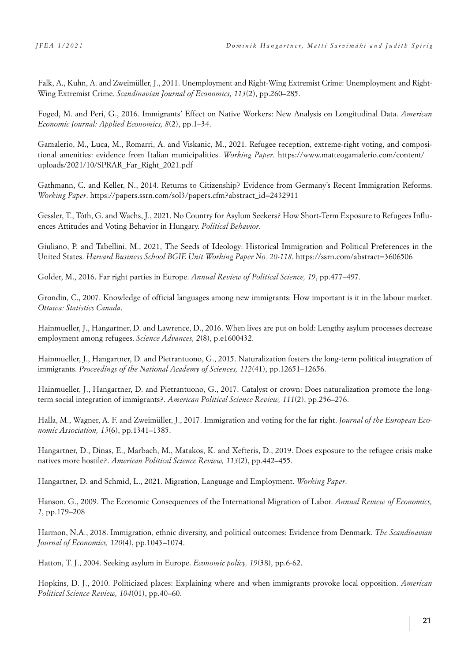Falk, A., Kuhn, A. and Zweimüller, J., 2011. Unemployment and Right-Wing Extremist Crime: Unemployment and Right-Wing Extremist Crime. *Scandinavian Journal of Economics, 113*(2), pp.260–285.

Foged, M. and Peri, G., 2016. Immigrants' Effect on Native Workers: New Analysis on Longitudinal Data. *American Economic Journal: Applied Economics, 8*(2), pp.1–34.

Gamalerio, M., Luca, M., Romarri, A. and Viskanic, M., 2021. Refugee reception, extreme-right voting, and compositional amenities: evidence from Italian municipalities. *Working Paper*. https://www.matteogamalerio.com/content/ uploads/2021/10/SPRAR\_Far\_Right\_2021.pdf

Gathmann, C. and Keller, N., 2014. Returns to Citizenship? Evidence from Germany's Recent Immigration Reforms. *Working Paper*. [https://papers.ssrn.com/sol3/papers.cfm?abstract\\_id=2432911](https://papers.ssrn.com/sol3/papers.cfm?abstract_id=2432911)

Gessler, T., Tóth, G. and Wachs, J., 2021. No Country for Asylum Seekers? How Short-Term Exposure to Refugees Influences Attitudes and Voting Behavior in Hungary. *Political Behavior*.

Giuliano, P. and Tabellini, M., 2021, The Seeds of Ideology: Historical Immigration and Political Preferences in the United States. *Harvard Business School BGIE Unit Working Paper No. 20-118*. https://ssrn.com/abstract=3606506

Golder, M., 2016. Far right parties in Europe. *Annual Review of Political Science, 19*, pp.477–497.

Grondin, C., 2007. Knowledge of official languages among new immigrants: How important is it in the labour market. *Ottawa: Statistics Canada*.

Hainmueller, J., Hangartner, D. and Lawrence, D., 2016. When lives are put on hold: Lengthy asylum processes decrease employment among refugees. *Science Advances, 2*(8), p.e1600432.

Hainmueller, J., Hangartner, D. and Pietrantuono, G., 2015. Naturalization fosters the long-term political integration of immigrants. *Proceedings of the National Academy of Sciences, 112*(41), pp.12651–12656.

Hainmueller, J., Hangartner, D. and Pietrantuono, G., 2017. Catalyst or crown: Does naturalization promote the longterm social integration of immigrants?. *American Political Science Review, 111*(2), pp.256–276.

Halla, M., Wagner, A. F. and Zweimüller, J., 2017. Immigration and voting for the far right. *Journal of the European Economic Association, 15*(6), pp.1341–1385.

Hangartner, D., Dinas, E., Marbach, M., Matakos, K. and Xefteris, D., 2019. Does exposure to the refugee crisis make natives more hostile?. *American Political Science Review, 113*(2), pp.442–455.

Hangartner, D. and Schmid, L., 2021. Migration, Language and Employment. *Working Paper*.

Hanson. G., 2009. The Economic Consequences of the International Migration of Labor. *Annual Review of Economics, 1*, pp.179–208

Harmon, N.A., 2018. Immigration, ethnic diversity, and political outcomes: Evidence from Denmark. *The Scandinavian Journal of Economics, 120*(4), pp.1043–1074.

Hatton, T. J., 2004. Seeking asylum in Europe. *Economic policy, 19*(38), pp.6-62.

Hopkins, D. J., 2010. Politicized places: Explaining where and when immigrants provoke local opposition. *American Political Science Review, 104*(01), pp.40–60.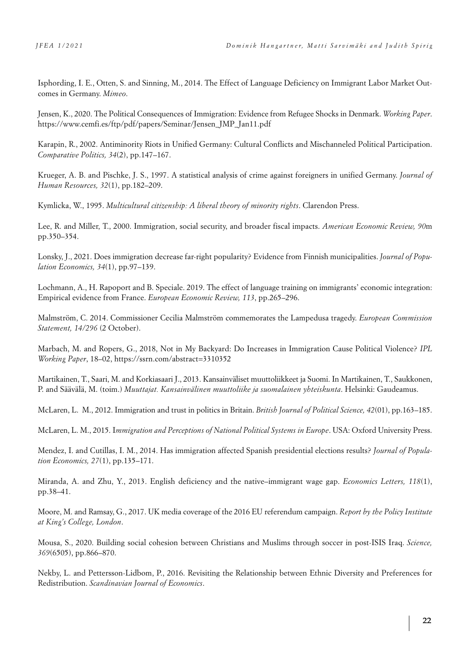Isphording, I. E., Otten, S. and Sinning, M., 2014. The Effect of Language Deficiency on Immigrant Labor Market Outcomes in Germany. *Mimeo*.

Jensen, K., 2020. The Political Consequences of Immigration: Evidence from Refugee Shocks in Denmark. *Working Paper*. https://www.cemfi.es/ftp/pdf/papers/Seminar/Jensen\_JMP\_Jan11.pdf

Karapin, R., 2002. Antiminority Riots in Unified Germany: Cultural Conflicts and Mischanneled Political Participation. *Comparative Politics, 34*(2), pp.147–167.

Krueger, A. B. and Pischke, J. S., 1997. A statistical analysis of crime against foreigners in unified Germany. *Journal of Human Resources, 32*(1), pp.182–209.

Kymlicka, W., 1995. *Multicultural citizenship: A liberal theory of minority rights*. Clarendon Press.

Lee, R. and Miller, T., 2000. Immigration, social security, and broader fiscal impacts. *American Economic Review, 90*m pp.350–354.

Lonsky, J., 2021. Does immigration decrease far-right popularity? Evidence from Finnish municipalities. *Journal of Population Economics, 34*(1), pp.97–139.

Lochmann, A., H. Rapoport and B. Speciale. 2019. The effect of language training on immigrants' economic integration: Empirical evidence from France. *European Economic Review, 113*, pp.265–296.

Malmström, C. 2014. Commissioner Cecilia Malmström commemorates the Lampedusa tragedy. *European Commission Statement, 14/296* (2 October).

Marbach, M. and Ropers, G., 2018, Not in My Backyard: Do Increases in Immigration Cause Political Violence? *IPL Working Paper*, 18–02, <https://ssrn.com/abstract=3310352>

Martikainen, T., Saari, M. and Korkiasaari J., 2013. Kansainväliset muuttoliikkeet ja Suomi. In Martikainen, T., Saukkonen, P. and Säävälä, M. (toim.) *Muuttajat. Kansainvälinen muuttoliike ja suomalainen yhteiskunta*. Helsinki: Gaudeamus.

McLaren, L. M., 2012. Immigration and trust in politics in Britain. *British Journal of Political Science, 42*(01), pp.163–185.

McLaren, L. M., 2015. I*mmigration and Perceptions of National Political Systems in Europe*. USA: Oxford University Press.

Mendez, I. and Cutillas, I. M., 2014. Has immigration affected Spanish presidential elections results? *Journal of Population Economics, 27*(1), pp.135–171.

Miranda, A. and Zhu, Y., 2013. English deficiency and the native–immigrant wage gap. *Economics Letters, 118*(1), pp.38–41.

Moore, M. and Ramsay, G., 2017. UK media coverage of the 2016 EU referendum campaign. *Report by the Policy Institute at King's College, London*.

Mousa, S., 2020. Building social cohesion between Christians and Muslims through soccer in post-ISIS Iraq. *Science, 369*(6505), pp.866–870.

Nekby, L. and Pettersson-Lidbom, P., 2016. Revisiting the Relationship between Ethnic Diversity and Preferences for Redistribution. *Scandinavian Journal of Economics*.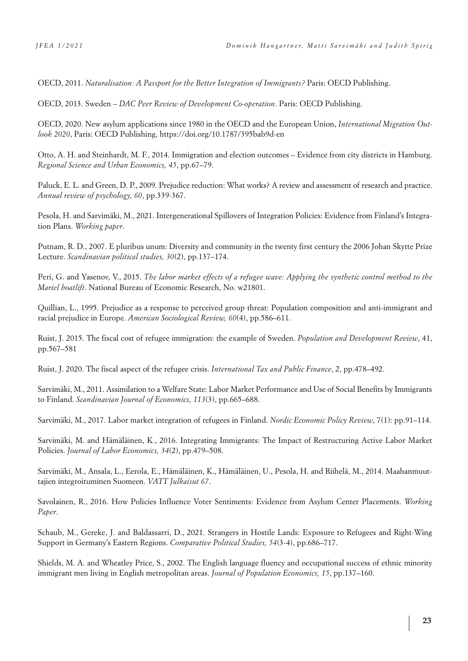OECD, 2011. *Naturalisation: A Passport for the Better Integration of Immigrants?* Paris: OECD Publishing.

OECD, 2013. Sweden – *DAC Peer Review of Development Co-operation*. Paris: OECD Publishing.

OECD, 2020. New asylum applications since 1980 in the OECD and the European Union, *International Migration Outlook 2020*, Paris: OECD Publishing,<https://doi.org/10.1787/395bab9d-en>

Otto, A. H. and Steinhardt, M. F., 2014. Immigration and election outcomes – Evidence from city districts in Hamburg. *Regional Science and Urban Economics, 45*, pp.67–79.

Paluck, E. L. and Green, D. P., 2009. Prejudice reduction: What works? A review and assessment of research and practice. *Annual review of psychology, 60*, pp.339-367.

Pesola, H. and Sarvimäki, M., 2021. Intergenerational Spillovers of Integration Policies: Evidence from Finland's Integration Plans. *Working paper*.

Putnam, R. D., 2007. E pluribus unum: Diversity and community in the twenty first century the 2006 Johan Skytte Prize Lecture. *Scandinavian political studies, 30*(2), pp.137–174.

Peri, G. and Yasenov, V., 2015. *The labor market effects of a refugee wave: Applying the synthetic control method to the Mariel boatlift*. National Bureau of Economic Research, No. w21801.

Quillian, L., 1995. Prejudice as a response to perceived group threat: Population composition and anti-immigrant and racial prejudice in Europe. *American Sociological Review, 60*(4), pp.586–611.

Ruist, J. 2015. The fiscal cost of refugee immigration: the example of Sweden. *Population and Development Review*, 41, pp.567–581

Ruist, J. 2020. The fiscal aspect of the refugee crisis. *International Tax and Public Finance*, 2, pp.478–492.

Sarvimäki, M., 2011. Assimilation to a Welfare State: Labor Market Performance and Use of Social Benefits by Immigrants to Finland. *Scandinavian Journal of Economics, 113*(3), pp.665–688.

Sarvimäki, M., 2017. Labor market integration of refugees in Finland. *Nordic Economic Policy Review*, 7(1): pp.91–114.

Sarvimäki, M. and Hämäläinen, K., 2016. Integrating Immigrants: The Impact of Restructuring Active Labor Market Policies. *Journal of Labor Economics, 34*(2), pp.479–508.

Sarvimäki, M., Ansala, L., Eerola, E., Hämäläinen, K., Hämäläinen, U., Pesola, H. and Riihelä, M., 2014. Maahanmuuttajien integroituminen Suomeen. *VATT Julkaisut 67*.

Savolainen, R., 2016. How Policies Influence Voter Sentiments: Evidence from Asylum Center Placements. *Working Paper*.

Schaub, M., Gereke, J. and Baldassarri, D., 2021. Strangers in Hostile Lands: Exposure to Refugees and Right-Wing Support in Germany's Eastern Regions. *Comparative Political Studies, 54*(3-4), pp.686–717.

Shields, M. A. and Wheatley Price, S., 2002. The English language fluency and occupational success of ethnic minority immigrant men living in English metropolitan areas. *Journal of Population Economics, 15*, pp.137–160.